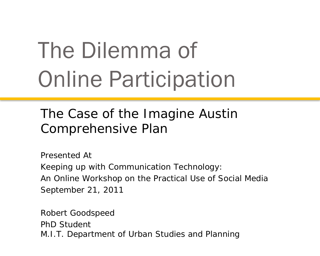# The Dilemma of Online Participation

The Case of the Imagine Austin Comprehensive Plan

Presented At Keeping up with Communication Technology: An Online Workshop on the Practical Use of Social Media September 21, 2011

Robert Goodspeed PhD Student M.I.T. Department of Urban Studies and Planning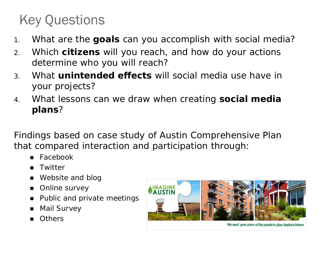### Key Questions

- 1. What are the **goals** can you accomplish with social media?
- 2. Which **citizens** will you reach, and how do your actions determine who you will reach?
- 3. What **unintended effects** will social media use have in your projects?
- 4. What lessons can we draw when creating **social media plans**?

Findings based on case study of Austin Comprehensive Plan that compared interaction and participation through:

- Facebook
- **Twitter**
- Website and blog
- **Online survey**
- Public and private meetings
- Mail Survey
- **Others**



We need your piece of the puzzle to plan Austin's future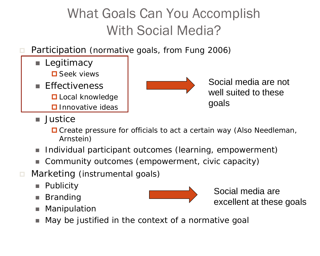## What Goals Can You Accomplish With Social Media?

- Participation (normative goals, from Fung 2006)
	- **Legitimacy □** Seek views **Fffectiveness L** Local knowledge  $\square$  Innovative ideas



Social media are not well suited to these goals

- Justice
	- $\Box$  Create pressure for officials to act a certain way (Also Needleman, Arnstein)
- Individual participant outcomes (learning, empowerment)
- Community outcomes (empowerment, civic capacity)
- **n** Marketing (instrumental goals)
	- **Publicity**
	- **Branding**
	- Manipulation
	- *May be justified in the context of a normative goal*



Social media are excellent at these goals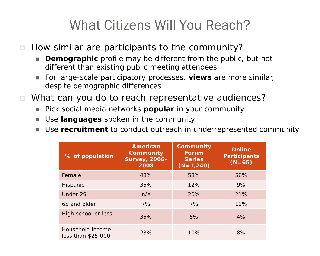### What Citizens Will You Reach?

### $\Box$  How similar are participants to the community?

- **Demographic** profile may be different from the public, but not different than existing public meeting attendees
- For large-scale participatory processes, **views** are more similar, despite demographic differences
- What can you do to reach representative audiences?
	- **Pick social media networks popular in your community**
	- Use **languages** spoken in the community
	- Use **recruitment** to conduct outreach in underrepresented community

| % of population                        | <b>American</b><br>Community<br><b>Survey, 2006-</b><br>2008 | Community<br><b>Forum</b><br><b>Series</b><br>$(N=1,240)$ | <b>Online</b><br><b>Participants</b><br>$(N=65)$ |
|----------------------------------------|--------------------------------------------------------------|-----------------------------------------------------------|--------------------------------------------------|
| Female                                 | 48%                                                          | 58%                                                       | 56%                                              |
| Hispanic                               | 35%                                                          | 12%                                                       | 9%                                               |
| Under 29                               | n/a                                                          | 20%                                                       | 21%                                              |
| 65 and older                           | 7%                                                           | 7%                                                        | 11%                                              |
| High school or less                    | 35%                                                          | 5%                                                        | 4%                                               |
| Household income<br>less than \$25,000 | 23%                                                          | 10%                                                       | 8%                                               |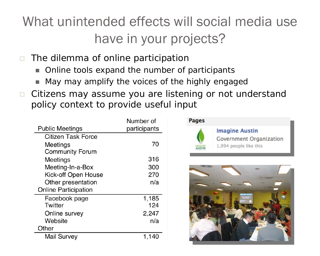## What unintended effects will social media use have in your projects?

- $\blacksquare$  The dilemma of online participation
	- Online tools expand the number of participants
	- May may amplify the voices of the highly engaged
- Citizens may assume you are listening or not understand policy context to provide useful input

|                             | Number of    |
|-----------------------------|--------------|
| <b>Public Meetings</b>      | participants |
| <b>Citizen Task Force</b>   |              |
| Meetings                    | 70           |
| <b>Community Forum</b>      |              |
| Meetings                    | 316          |
| Meeting-In-a-Box            | 300          |
| Kick-off Open House         | 270          |
| Other presentation          | n/a          |
| <b>Online Participation</b> |              |
| Facebook page               | 1,185        |
| <b>Twitter</b>              | 124          |
| Online survey               | 2,247        |
| Website                     | n/a          |
| Other                       |              |
| <b>Mail Survey</b>          | 1,140        |



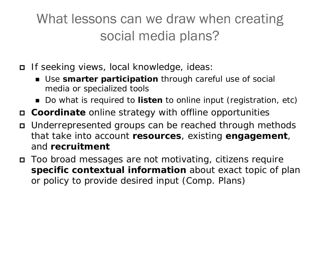### What lessons can we draw when creating social media plans?

- If seeking views, local knowledge, ideas:
	- Use **smarter participation** through careful use of social media or specialized tools
	- Do what is required to **listen** to online input (registration, etc)
- **Coordinate** online strategy with offline opportunities
- Underrepresented groups can be reached through methods that take into account **resources**, existing **engagement**, and **recruitment**
- Too broad messages are not motivating, citizens require **specific contextual information** about exact topic of plan or policy to provide desired input (Comp. Plans)